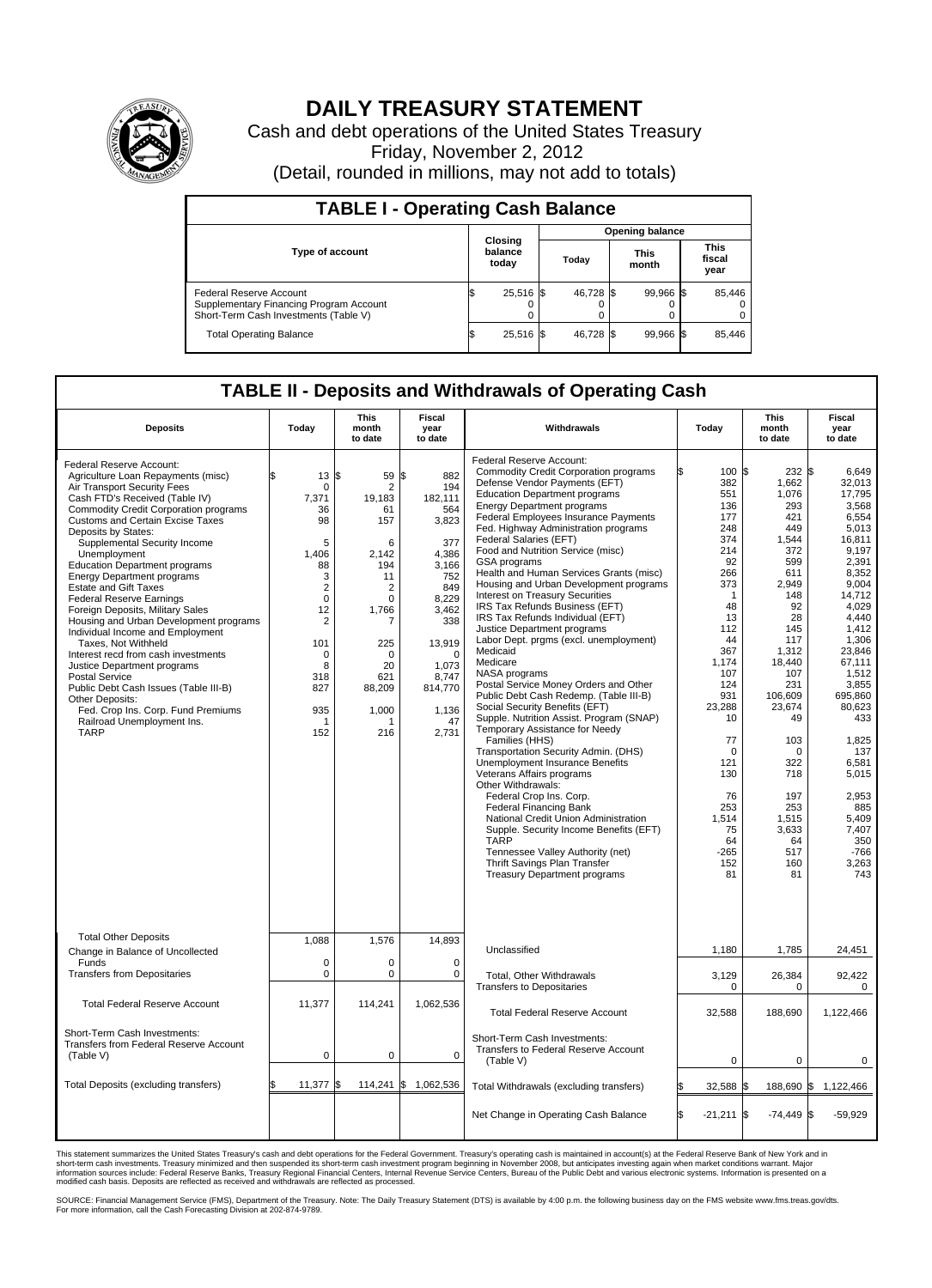

## **DAILY TREASURY STATEMENT**

Cash and debt operations of the United States Treasury Friday, November 2, 2012 (Detail, rounded in millions, may not add to totals)

| <b>TABLE I - Operating Cash Balance</b>                                                                     |                             |                               |           |                               |  |  |  |
|-------------------------------------------------------------------------------------------------------------|-----------------------------|-------------------------------|-----------|-------------------------------|--|--|--|
|                                                                                                             |                             | <b>Opening balance</b>        |           |                               |  |  |  |
| <b>Type of account</b>                                                                                      | Closing<br>balance<br>today | <b>This</b><br>Today<br>month |           | <b>This</b><br>fiscal<br>year |  |  |  |
| Federal Reserve Account<br>Supplementary Financing Program Account<br>Short-Term Cash Investments (Table V) | 25,516 \$<br>0              | 46,728 \$                     | 99,966 \$ | 85,446                        |  |  |  |
| <b>Total Operating Balance</b>                                                                              | 25,516 \$                   | 46,728 \$                     | 99.966 \$ | 85,446                        |  |  |  |

## **TABLE II - Deposits and Withdrawals of Operating Cash**

| <b>Deposits</b>                                                                                                                                                                                                                                                                                                                                                                                                                                                                                                                                                                                                                                                                                                                                                                                                                          | Today                                                                                                                                                                                                                 | <b>This</b><br>month<br>to date                                                                                                                                                 | <b>Fiscal</b><br>year<br>to date                                                                                                                                                       | Withdrawals                                                                                                                                                                                                                                                                                                                                                                                                                                                                                                                                                                                                                                                                                                                                                                                                                                                                                                                                                                                                                                                                                                                                                                                                                                                                                             | Today                                                                                                                                                                                                                                                      | <b>This</b><br>month<br>to date                                                                                                                                                                                                                                               | <b>Fiscal</b><br>year<br>to date                                                                                                                                                                                                                                                                                        |
|------------------------------------------------------------------------------------------------------------------------------------------------------------------------------------------------------------------------------------------------------------------------------------------------------------------------------------------------------------------------------------------------------------------------------------------------------------------------------------------------------------------------------------------------------------------------------------------------------------------------------------------------------------------------------------------------------------------------------------------------------------------------------------------------------------------------------------------|-----------------------------------------------------------------------------------------------------------------------------------------------------------------------------------------------------------------------|---------------------------------------------------------------------------------------------------------------------------------------------------------------------------------|----------------------------------------------------------------------------------------------------------------------------------------------------------------------------------------|---------------------------------------------------------------------------------------------------------------------------------------------------------------------------------------------------------------------------------------------------------------------------------------------------------------------------------------------------------------------------------------------------------------------------------------------------------------------------------------------------------------------------------------------------------------------------------------------------------------------------------------------------------------------------------------------------------------------------------------------------------------------------------------------------------------------------------------------------------------------------------------------------------------------------------------------------------------------------------------------------------------------------------------------------------------------------------------------------------------------------------------------------------------------------------------------------------------------------------------------------------------------------------------------------------|------------------------------------------------------------------------------------------------------------------------------------------------------------------------------------------------------------------------------------------------------------|-------------------------------------------------------------------------------------------------------------------------------------------------------------------------------------------------------------------------------------------------------------------------------|-------------------------------------------------------------------------------------------------------------------------------------------------------------------------------------------------------------------------------------------------------------------------------------------------------------------------|
| Federal Reserve Account:<br>Agriculture Loan Repayments (misc)<br>Air Transport Security Fees<br>Cash FTD's Received (Table IV)<br><b>Commodity Credit Corporation programs</b><br><b>Customs and Certain Excise Taxes</b><br>Deposits by States:<br>Supplemental Security Income<br>Unemployment<br><b>Education Department programs</b><br><b>Energy Department programs</b><br><b>Estate and Gift Taxes</b><br><b>Federal Reserve Earnings</b><br>Foreign Deposits, Military Sales<br>Housing and Urban Development programs<br>Individual Income and Employment<br>Taxes, Not Withheld<br>Interest recd from cash investments<br>Justice Department programs<br><b>Postal Service</b><br>Public Debt Cash Issues (Table III-B)<br>Other Deposits:<br>Fed. Crop Ins. Corp. Fund Premiums<br>Railroad Unemployment Ins.<br><b>TARP</b> | \$<br>$13 \text{ }$ $\text{ }$ $\text{ }$ $\text{ }$ $\text{ }$<br>0<br>7,371<br>36<br>98<br>5<br>1,406<br>88<br>3<br>$\overline{2}$<br>$\mathbf 0$<br>12<br>2<br>101<br>$\mathbf 0$<br>8<br>318<br>827<br>935<br>152 | 59<br>$\overline{2}$<br>19,183<br>61<br>157<br>6<br>2.142<br>194<br>11<br>$\overline{2}$<br>$\mathbf 0$<br>1.766<br>7<br>225<br>$\Omega$<br>20<br>621<br>88,209<br>1,000<br>216 | ß.<br>882<br>194<br>182,111<br>564<br>3,823<br>377<br>4.386<br>3,166<br>752<br>849<br>8,229<br>3.462<br>338<br>13,919<br>$\Omega$<br>1,073<br>8,747<br>814,770<br>1,136<br>47<br>2,731 | <b>Federal Reserve Account:</b><br><b>Commodity Credit Corporation programs</b><br>Defense Vendor Payments (EFT)<br><b>Education Department programs</b><br><b>Energy Department programs</b><br>Federal Employees Insurance Payments<br>Fed. Highway Administration programs<br>Federal Salaries (EFT)<br>Food and Nutrition Service (misc)<br>GSA programs<br>Health and Human Services Grants (misc)<br>Housing and Urban Development programs<br>Interest on Treasury Securities<br>IRS Tax Refunds Business (EFT)<br>IRS Tax Refunds Individual (EFT)<br>Justice Department programs<br>Labor Dept. prgms (excl. unemployment)<br>Medicaid<br>Medicare<br>NASA programs<br>Postal Service Money Orders and Other<br>Public Debt Cash Redemp. (Table III-B)<br>Social Security Benefits (EFT)<br>Supple. Nutrition Assist. Program (SNAP)<br>Temporary Assistance for Needy<br>Families (HHS)<br>Transportation Security Admin. (DHS)<br>Unemployment Insurance Benefits<br>Veterans Affairs programs<br>Other Withdrawals:<br>Federal Crop Ins. Corp.<br><b>Federal Financing Bank</b><br>National Credit Union Administration<br>Supple. Security Income Benefits (EFT)<br><b>TARP</b><br>Tennessee Valley Authority (net)<br>Thrift Savings Plan Transfer<br><b>Treasury Department programs</b> | 100 \$<br>382<br>551<br>136<br>177<br>248<br>374<br>214<br>92<br>266<br>373<br>$\mathbf 1$<br>48<br>13<br>112<br>44<br>367<br>1,174<br>107<br>124<br>931<br>23,288<br>10<br>77<br>0<br>121<br>130<br>76<br>253<br>1,514<br>75<br>64<br>$-265$<br>152<br>81 | 232S<br>1,662<br>1,076<br>293<br>421<br>449<br>1.544<br>372<br>599<br>611<br>2,949<br>148<br>92<br>28<br>145<br>117<br>1,312<br>18,440<br>107<br>231<br>106.609<br>23,674<br>49<br>103<br>$\mathbf 0$<br>322<br>718<br>197<br>253<br>1,515<br>3.633<br>64<br>517<br>160<br>81 | 6,649<br>32.013<br>17,795<br>3,568<br>6,554<br>5,013<br>16.811<br>9,197<br>2,391<br>8,352<br>9,004<br>14,712<br>4,029<br>4.440<br>1,412<br>1.306<br>23,846<br>67,111<br>1,512<br>3,855<br>695,860<br>80,623<br>433<br>1,825<br>137<br>6,581<br>5,015<br>2,953<br>885<br>5,409<br>7.407<br>350<br>$-766$<br>3,263<br>743 |
| <b>Total Other Deposits</b><br>Change in Balance of Uncollected                                                                                                                                                                                                                                                                                                                                                                                                                                                                                                                                                                                                                                                                                                                                                                          | 1,088                                                                                                                                                                                                                 | 1,576                                                                                                                                                                           | 14,893                                                                                                                                                                                 | Unclassified                                                                                                                                                                                                                                                                                                                                                                                                                                                                                                                                                                                                                                                                                                                                                                                                                                                                                                                                                                                                                                                                                                                                                                                                                                                                                            | 1,180                                                                                                                                                                                                                                                      | 1,785                                                                                                                                                                                                                                                                         | 24,451                                                                                                                                                                                                                                                                                                                  |
| Funds<br><b>Transfers from Depositaries</b>                                                                                                                                                                                                                                                                                                                                                                                                                                                                                                                                                                                                                                                                                                                                                                                              | $\mathbf 0$<br>0                                                                                                                                                                                                      | $\mathbf 0$<br>$\mathbf 0$                                                                                                                                                      | $\mathbf 0$<br>$\mathbf 0$                                                                                                                                                             | Total, Other Withdrawals<br><b>Transfers to Depositaries</b>                                                                                                                                                                                                                                                                                                                                                                                                                                                                                                                                                                                                                                                                                                                                                                                                                                                                                                                                                                                                                                                                                                                                                                                                                                            | 3,129<br>0                                                                                                                                                                                                                                                 | 26,384<br>$\mathbf 0$                                                                                                                                                                                                                                                         | 92,422<br>0                                                                                                                                                                                                                                                                                                             |
| <b>Total Federal Reserve Account</b>                                                                                                                                                                                                                                                                                                                                                                                                                                                                                                                                                                                                                                                                                                                                                                                                     | 11,377                                                                                                                                                                                                                | 114,241                                                                                                                                                                         | 1,062,536                                                                                                                                                                              | <b>Total Federal Reserve Account</b>                                                                                                                                                                                                                                                                                                                                                                                                                                                                                                                                                                                                                                                                                                                                                                                                                                                                                                                                                                                                                                                                                                                                                                                                                                                                    | 32,588                                                                                                                                                                                                                                                     | 188,690                                                                                                                                                                                                                                                                       | 1,122,466                                                                                                                                                                                                                                                                                                               |
| Short-Term Cash Investments:<br>Transfers from Federal Reserve Account<br>(Table V)                                                                                                                                                                                                                                                                                                                                                                                                                                                                                                                                                                                                                                                                                                                                                      | $\mathbf 0$                                                                                                                                                                                                           | $\mathbf 0$                                                                                                                                                                     | $\mathbf 0$                                                                                                                                                                            | Short-Term Cash Investments:<br>Transfers to Federal Reserve Account<br>(Table V)                                                                                                                                                                                                                                                                                                                                                                                                                                                                                                                                                                                                                                                                                                                                                                                                                                                                                                                                                                                                                                                                                                                                                                                                                       | $\mathbf 0$                                                                                                                                                                                                                                                | 0                                                                                                                                                                                                                                                                             | 0                                                                                                                                                                                                                                                                                                                       |
| Total Deposits (excluding transfers)                                                                                                                                                                                                                                                                                                                                                                                                                                                                                                                                                                                                                                                                                                                                                                                                     | 11,377                                                                                                                                                                                                                | 114,241<br>ß.                                                                                                                                                                   | 1,062,536<br>\$                                                                                                                                                                        | Total Withdrawals (excluding transfers)                                                                                                                                                                                                                                                                                                                                                                                                                                                                                                                                                                                                                                                                                                                                                                                                                                                                                                                                                                                                                                                                                                                                                                                                                                                                 | 32,588 \$                                                                                                                                                                                                                                                  | 188,690 \$                                                                                                                                                                                                                                                                    | 1,122,466                                                                                                                                                                                                                                                                                                               |
|                                                                                                                                                                                                                                                                                                                                                                                                                                                                                                                                                                                                                                                                                                                                                                                                                                          |                                                                                                                                                                                                                       |                                                                                                                                                                                 |                                                                                                                                                                                        | Net Change in Operating Cash Balance                                                                                                                                                                                                                                                                                                                                                                                                                                                                                                                                                                                                                                                                                                                                                                                                                                                                                                                                                                                                                                                                                                                                                                                                                                                                    | l\$<br>$-21,211$ \$                                                                                                                                                                                                                                        | $-74,449$ \$                                                                                                                                                                                                                                                                  | $-59,929$                                                                                                                                                                                                                                                                                                               |

This statement summarizes the United States Treasury's cash and debt operations for the Federal Government. Treasury's operating cash is maintained in account(s) at the Federal Reserve Bank of New York and in<br>short-term ca

SOURCE: Financial Management Service (FMS), Department of the Treasury. Note: The Daily Treasury Statement (DTS) is available by 4:00 p.m. the following business day on the FMS website www.fms.treas.gov/dts.<br>For more infor